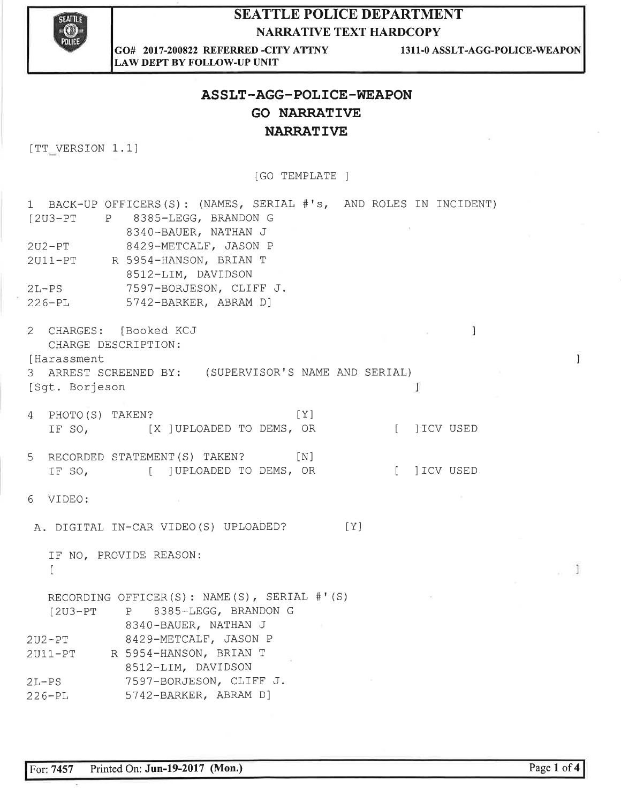

#### **SEATTLE POLICE DEPARTMENT NARRATIVE TEXT HARDCOPY**

GO# 2017-200822 REFERRED -CITY ATTNY **LAW DEPT BY FOLLOW-UP UNIT** 

1311-0 ASSLT-AGG-POLICE-WEAPON

## ASSLT-AGG-POLICE-WEAPON **GO NARRATIVE NARRATIVE**

[TT\_VERSION 1.1]

[GO TEMPLATE ]

| 1 BACK-UP OFFICERS(S): (NAMES, SERIAL #'s, AND ROLES IN INCIDENT)<br>[2U3-PT P 8385-LEGG, BRANDON G<br>8340-BAUER, NATHAN J<br>$2U2 - PT$<br>8429-METCALF, JASON P<br>2U11-PT R 5954-HANSON, BRIAN T<br>8512-LIM, DAVIDSON<br>7597-BORJESON, CLIFF J.<br>$2L-PS$<br>5742-BARKER, ABRAM D]<br>$226 - PL$ |     |              |
|---------------------------------------------------------------------------------------------------------------------------------------------------------------------------------------------------------------------------------------------------------------------------------------------------------|-----|--------------|
| 2 CHARGES: [Booked KCJ<br>CHARGE DESCRIPTION:<br>[Harassment                                                                                                                                                                                                                                            |     | J            |
| 3 ARREST SCREENED BY: (SUPERVISOR'S NAME AND SERIAL)<br>[Sqt. Borjeson                                                                                                                                                                                                                                  |     | 1            |
| PHOTO(S) TAKEN?<br>4<br>IF SO, [X ] UPLOADED TO DEMS, OR                                                                                                                                                                                                                                                | [Y] | [ ] ICV USED |
| RECORDED STATEMENT (S) TAKEN? [N]<br>5<br>IF SO, [ ]UPLOADED TO DEMS, OR                                                                                                                                                                                                                                |     | [ ] ICV USED |
| 6<br>VIDEO:<br>$\sim$                                                                                                                                                                                                                                                                                   |     |              |
| A. DIGITAL IN-CAR VIDEO (S) UPLOADED?                                                                                                                                                                                                                                                                   | [Y] |              |
| IF NO, PROVIDE REASON:<br>$\mathbb{L}$                                                                                                                                                                                                                                                                  |     |              |
| RECORDING OFFICER(S): NAME(S), SERIAL #'(S)<br>[2U3-PT P 8385-LEGG, BRANDON G<br>8340-BAUER, NATHAN J                                                                                                                                                                                                   |     |              |
| 2U2-PT 8429-METCALF, JASON P<br>2011-PT R 5954-HANSON, BRIAN T<br>8512-LIM, DAVIDSON                                                                                                                                                                                                                    |     |              |
| $2L-PS$<br>7597-BORJESON, CLIFF J.<br>5742-BARKER, ABRAM D]<br>$226 - PL$                                                                                                                                                                                                                               |     |              |

 $\overline{1}$ 

 $\frac{1}{2}$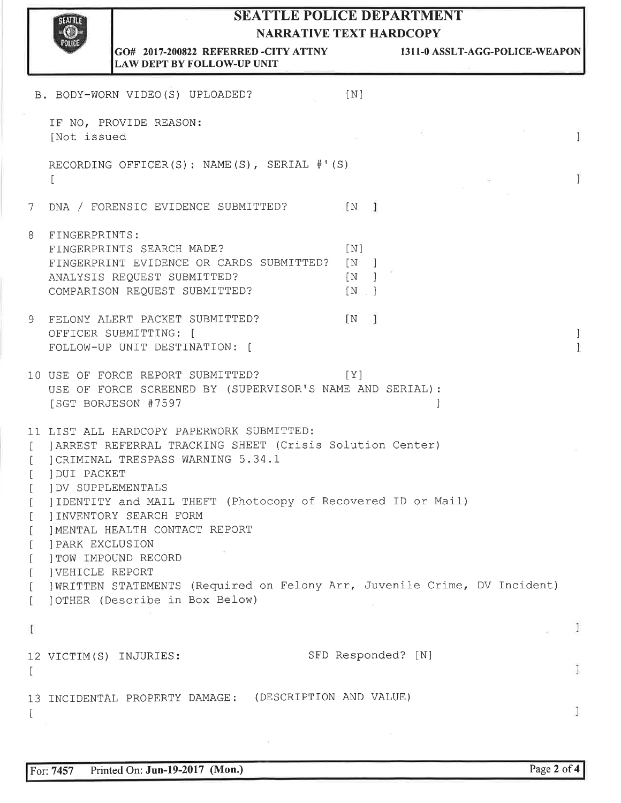### SEATTLE POLICE DEPARTMENT NARRATIVE TEXT HARDCOPY



GO# 2017-200822 REFERRED -CITY ATTNY 1311-0 ASSLT-AGG-POLICE-WEAPON LAW DEPT BY FOLLOW.UP UNIT

|                                               | B. BODY-WORN VIDEO(S) UPLOADED?                                                                                                                                                                                                                                                                                                                                                                                                                                                                                       | [N]                                   |        |
|-----------------------------------------------|-----------------------------------------------------------------------------------------------------------------------------------------------------------------------------------------------------------------------------------------------------------------------------------------------------------------------------------------------------------------------------------------------------------------------------------------------------------------------------------------------------------------------|---------------------------------------|--------|
|                                               | IF NO, PROVIDE REASON:<br>[Not issued                                                                                                                                                                                                                                                                                                                                                                                                                                                                                 |                                       | 1      |
|                                               | RECORDING OFFICER(S): NAME(S), SERIAL #'(S)<br>L                                                                                                                                                                                                                                                                                                                                                                                                                                                                      |                                       | 1      |
| 7                                             | DNA / FORENSIC EVIDENCE SUBMITTED?                                                                                                                                                                                                                                                                                                                                                                                                                                                                                    | $\lceil N \rceil$                     |        |
| 8                                             | FINGERPRINTS:<br>FINGERPRINTS SEARCH MADE?<br>FINGERPRINT EVIDENCE OR CARDS SUBMITTED? [N ]<br>ANALYSIS REQUEST SUBMITTED?<br>COMPARISON REQUEST SUBMITTED?                                                                                                                                                                                                                                                                                                                                                           | [N]<br>[N]<br>[N]                     |        |
| $\mathcal{G}$                                 | FELONY ALERT PACKET SUBMITTED?<br>OFFICER SUBMITTING: [<br>FOLLOW-UP UNIT DESTINATION: [                                                                                                                                                                                                                                                                                                                                                                                                                              | $\begin{bmatrix} N & I \end{bmatrix}$ | 1<br>1 |
|                                               | 10 USE OF FORCE REPORT SUBMITTED?<br>USE OF FORCE SCREENED BY (SUPERVISOR'S NAME AND SERIAL):<br>[SGT BORJESON #7597                                                                                                                                                                                                                                                                                                                                                                                                  | [Y]                                   |        |
| $\mathbf{L}$<br>$\Gamma$<br>$\mathbf{r}$<br>L | 11 LIST ALL HARDCOPY PAPERWORK SUBMITTED:<br>[ ] ARREST REFERRAL TRACKING SHEET (Crisis Solution Center)<br>CRIMINAL TRESPASS WARNING 5.34.1<br><b>IDUI PACKET</b><br><b>JDV SUPPLEMENTALS</b><br>I IDENTITY and MAIL THEFT (Photocopy of Recovered ID or Mail)<br>JINVENTORY SEARCH FORM<br>IMENTAL HEALTH CONTACT REPORT<br><b>JPARK EXCLUSION</b><br>ITOW IMPOUND RECORD<br><b>JVEHICLE REPORT</b><br>] WRITTEN STATEMENTS (Required on Felony Arr, Juvenile Crime, DV Incident)<br>JOTHER (Describe in Box Below) |                                       |        |
| ſ                                             |                                                                                                                                                                                                                                                                                                                                                                                                                                                                                                                       |                                       |        |
|                                               | 12 VICTIM(S) INJURIES:                                                                                                                                                                                                                                                                                                                                                                                                                                                                                                | SFD Responded? [N]                    |        |
|                                               | (DESCRIPTION AND VALUE)<br>13 INCIDENTAL PROPERTY DAMAGE:                                                                                                                                                                                                                                                                                                                                                                                                                                                             |                                       |        |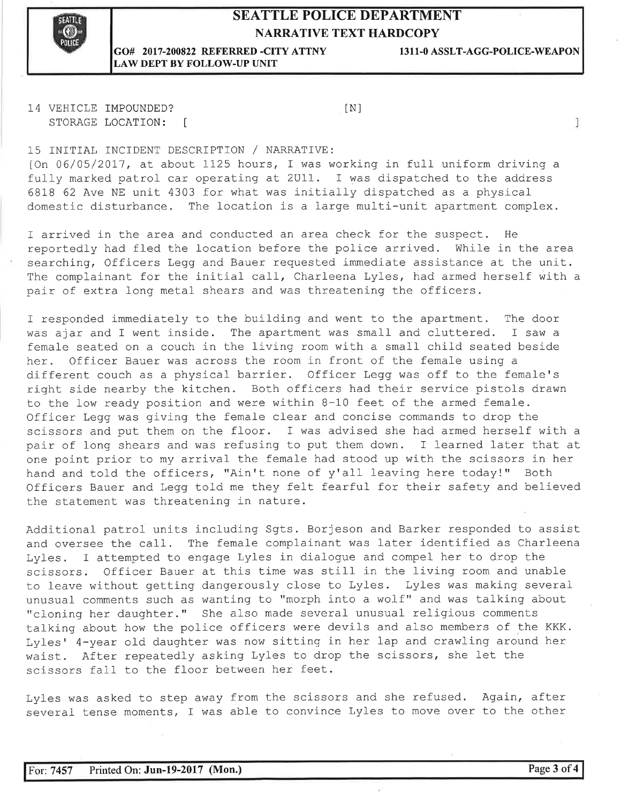#### SEATTLE POLICE DEPARTMENT NARRATIVE TEXT HARDCOPY



#### GO# 2017-200822 REFERRED .CITY ATTNY 1311-0 ASSLT-AGG-POLICE.WEAPON LAW DEPT BY FOLLOW-UP UNIT

1

14 VEHICLE IMPOUNDED? STORAGE LOCATION: [ tNl

15 INITIAL INCIDENT DESCRIPTION / NARRATIVE:

[On 06/05/2017, at about LL25 hours, I was working. in full uniform driving <sup>a</sup> fully marked patrol car operating at 2U11. I was dispatched to the address 6818 62 Ave NE unit 4303 for what was initially dispatched as a physical domestic disturbance. The location is a large multi-unit apartment complex.

I arrived in the area and conducted an area check for the suspect. He reportedly had fled the location before the police arrived. While in the area searching, Officers Legg and Bauer requested immediate assistance at the unit. The complainant for the initial call, Charleena Lyles, had armed herself with a pair of extra long metal shears and was threatening the officers.

T responded lmmediately to the building and went to the apartment. The door was ajar and I went inside. The apartment was small and cluttered. I saw a female seated on a couch in the living room with a small child seated beside her. Officer Bauer was across the room in front of the female using a different couch as a physical barrier. Officer Legg'was off to the female's right side nearby the kitchen. Both officers had their service pistols drawn to the low ready position and were within  $8-10$  feet of the armed female. Officer Legg was giving the female clear and concise commands to drop the scissors and put them on the floor. I was advised she had armed herself with a pair of long shears and was refusing to put them down. I learned later that at one point prior to my arrival the female had stood up with the scissors in her hand and told the officers, "Ain't none of y'all leaving here today!" Both Officers Bauer and Legg told me they felt fearful for their safety and believed the statement was threatening in nature.

Additional patrol units including Sgts. Borjeson and Barker responded to assist and oversee the call. The female complainant was later identified as Charleena Lyles. I attempted to engage Lyles in dialogue and compel her to drop the scissors. Officer Bauer at this time was still in the living room and unable to leave without getting dangerously close to Lyles. Lyles was making several unusual comments such as wanting to "morph into a wolf" and was talking about "cloning her dauqhter." She also made several unusual religious comments talking about how the police officers were devils and also members of the KKK. Lyles' 4-year old daughter was now sitting in her lap and crawling around her waist. After repeatedly asking Lyles to drop the scissors, she let the scissors fall to the floor between her feet.

Lyles was asked to step away from the scissors and she refused. Again, after several tense moments, I was able to convince Lyles to move over to the other